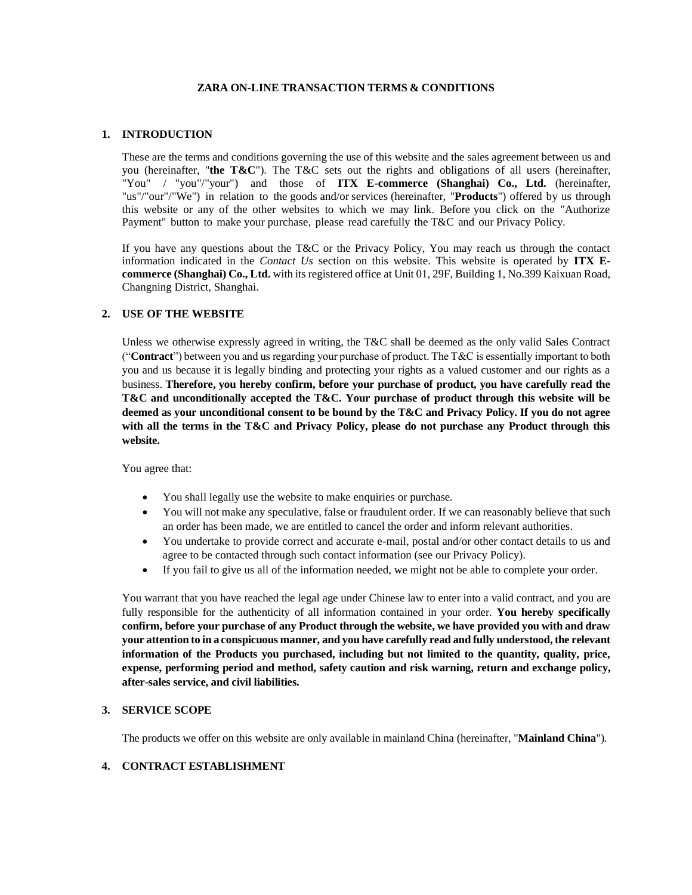## **ZARA ON-LINE TRANSACTION TERMS & CONDITIONS**

## **1. INTRODUCTION**

These are the terms and conditions governing the use of this website and the sales agreement between us and you (hereinafter, "**the T&C**"). The T&C sets out the rights and obligations of all users (hereinafter, "You" / "you"/"your") and those of **ITX E-commerce (Shanghai) Co., Ltd.** (hereinafter, "us"/"our"/"We") in relation to the goods and/or services (hereinafter, "**Products**") offered by us through this website or any of the other websites to which we may link. Before you click on the "Authorize Payment" button to make your purchase, please read carefully the T&C and our Privacy Policy.

If you have any questions about the T&C or the Privacy Policy, You may reach us through the contact information indicated in the *Contact Us* section on this website. This website is operated by **ITX Ecommerce (Shanghai) Co., Ltd.** with its registered office at Unit 01, 29F, Building 1, No.399 Kaixuan Road, Changning District, Shanghai.

## **2. USE OF THE WEBSITE**

Unless we otherwise expressly agreed in writing, the T&C shall be deemed as the only valid Sales Contract ("**Contract**") between you and us regarding your purchase of product. The T&C is essentially important to both you and us because it is legally binding and protecting your rights as a valued customer and our rights as a business. **Therefore, you hereby confirm, before your purchase of product, you have carefully read the T&C and unconditionally accepted the T&C. Your purchase of product through this website will be deemed as your unconditional consent to be bound by the T&C and Privacy Policy. If you do not agree with all the terms in the T&C and Privacy Policy, please do not purchase any Product through this website.**

You agree that:

- You shall legally use the website to make enquiries or purchase.
- You will not make any speculative, false or fraudulent order. If we can reasonably believe that such an order has been made, we are entitled to cancel the order and inform relevant authorities.
- You undertake to provide correct and accurate e-mail, postal and/or other contact details to us and agree to be contacted through such contact information (see our Privacy Policy).
- If you fail to give us all of the information needed, we might not be able to complete your order.

You warrant that you have reached the legal age under Chinese law to enter into a valid contract, and you are fully responsible for the authenticity of all information contained in your order. **You hereby specifically confirm, before your purchase of any Product through the website, we have provided you with and draw your attention to in a conspicuous manner, and you have carefully read and fully understood, the relevant information of the Products you purchased, including but not limited to the quantity, quality, price, expense, performing period and method, safety caution and risk warning, return and exchange policy, after-sales service, and civil liabilities.**

#### **3. SERVICE SCOPE**

The products we offer on this website are only available in mainland China (hereinafter, "**Mainland China**").

## **4. CONTRACT ESTABLISHMENT**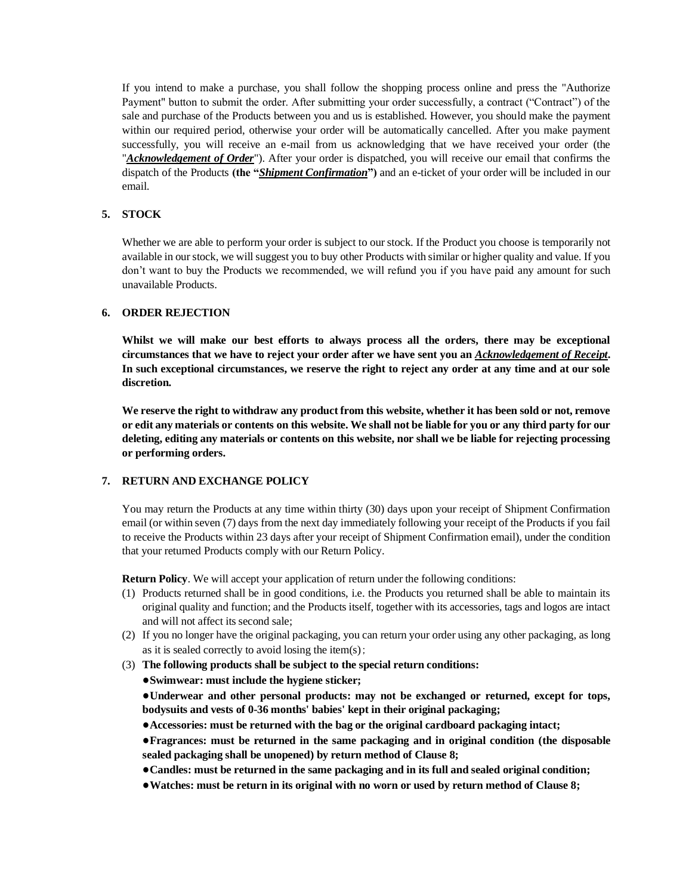If you intend to make a purchase, you shall follow the shopping process online and press the "Authorize Payment" button to submit the order. After submitting your order successfully, a contract ("Contract") of the sale and purchase of the Products between you and us is established. However, you should make the payment within our required period, otherwise your order will be automatically cancelled. After you make payment successfully, you will receive an e-mail from us acknowledging that we have received your order (the "*Acknowledgement of Order*"). After your order is dispatched, you will receive our email that confirms the dispatch of the Products **(the "***Shipment Confirmation***")** and an e-ticket of your order will be included in our email.

# **5. STOCK**

Whether we are able to perform your order is subject to our stock. If the Product you choose is temporarily not available in our stock, we will suggest you to buy other Products with similar or higher quality and value. If you don't want to buy the Products we recommended, we will refund you if you have paid any amount for such unavailable Products.

## **6. ORDER REJECTION**

**Whilst we will make our best efforts to always process all the orders, there may be exceptional circumstances that we have to reject your order after we have sent you an** *Acknowledgement of Receipt***. In such exceptional circumstances, we reserve the right to reject any order at any time and at our sole discretion.**

**We reserve the right to withdraw any product from this website, whether it has been sold or not, remove or edit any materials or contents on this website. We shall not be liable for you or any third party for our deleting, editing any materials or contents on this website, nor shall we be liable for rejecting processing or performing orders.** 

# **7. RETURN AND EXCHANGE POLICY**

You may return the Products at any time within thirty (30) days upon your receipt of Shipment Confirmation email (or within seven (7) days from the next day immediately following your receipt of the Products if you fail to receive the Products within 23 days after your receipt of Shipment Confirmation email), under the condition that your returned Products comply with our Return Policy.

**Return Policy**. We will accept your application of return under the following conditions:

- (1) Products returned shall be in good conditions, i.e. the Products you returned shall be able to maintain its original quality and function; and the Products itself, together with its accessories, tags and logos are intact and will not affect its second sale;
- (2) If you no longer have the original packaging, you can return your order using any other packaging, as long as it is sealed correctly to avoid losing the item(s);
- (3) **The following products shall be subject to the special return conditions:**

**●Swimwear: must include the hygiene sticker;**

**●Underwear and other personal products: may not be exchanged or returned, except for tops, bodysuits and vests of 0-36 months' babies' kept in their original packaging;**

**●Accessories: must be returned with the bag or the original cardboard packaging intact;**

**●Fragrances: must be returned in the same packaging and in original condition (the disposable sealed packaging shall be unopened) by return method of Clause 8;**

**●Candles: must be returned in the same packaging and in its full and sealed original condition;**

**●Watches: must be return in its original with no worn or used by return method of Clause 8;**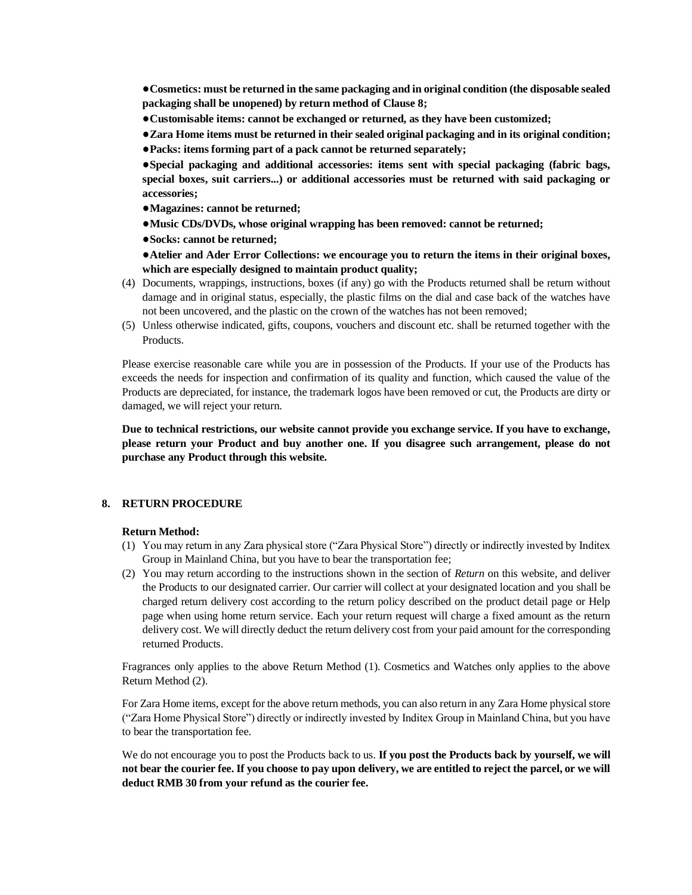**●Cosmetics: must be returned in the same packaging and in original condition (the disposable sealed packaging shall be unopened) by return method of Clause 8;**

- **●Customisable items: cannot be exchanged or returned, as they have been customized;**
- **●Zara Home items must be returned in their sealed original packaging and in its original condition;**
- **●Packs: items forming part of a pack cannot be returned separately;**

**●Special packaging and additional accessories: items sent with special packaging (fabric bags, special boxes, suit carriers...) or additional accessories must be returned with said packaging or accessories;**

- **●Magazines: cannot be returned;**
- **●Music CDs/DVDs, whose original wrapping has been removed: cannot be returned;**
- **●Socks: cannot be returned;**

**●Atelier and Ader Error Collections: we encourage you to return the items in their original boxes, which are especially designed to maintain product quality;**

- (4) Documents, wrappings, instructions, boxes (if any) go with the Products returned shall be return without damage and in original status, especially, the plastic films on the dial and case back of the watches have not been uncovered, and the plastic on the crown of the watches has not been removed;
- (5) Unless otherwise indicated, gifts, coupons, vouchers and discount etc. shall be returned together with the Products.

Please exercise reasonable care while you are in possession of the Products. If your use of the Products has exceeds the needs for inspection and confirmation of its quality and function, which caused the value of the Products are depreciated, for instance, the trademark logos have been removed or cut, the Products are dirty or damaged, we will reject your return.

**Due to technical restrictions, our website cannot provide you exchange service. If you have to exchange, please return your Product and buy another one. If you disagree such arrangement, please do not purchase any Product through this website.** 

## **8. RETURN PROCEDURE**

#### **Return Method:**

- (1) You may return in any Zara physical store ("Zara Physical Store") directly or indirectly invested by Inditex Group in Mainland China, but you have to bear the transportation fee;
- (2) You may return according to the instructions shown in the section of *Return* on this website, and deliver the Products to our designated carrier. Our carrier will collect at your designated location and you shall be charged return delivery cost according to the return policy described on the product detail page or Help page when using home return service. Each your return request will charge a fixed amount as the return delivery cost. We will directly deduct the return delivery cost from your paid amount for the corresponding returned Products.

Fragrances only applies to the above Return Method (1). Cosmetics and Watches only applies to the above Return Method (2).

For Zara Home items, except for the above return methods, you can also return in any Zara Home physical store ("Zara Home Physical Store") directly or indirectly invested by Inditex Group in Mainland China, but you have to bear the transportation fee.

We do not encourage you to post the Products back to us. If you post the Products back by yourself, we will **not bear the courier fee. If you choose to pay upon delivery, we are entitled to reject the parcel, or we will deduct RMB 30 from your refund as the courier fee.**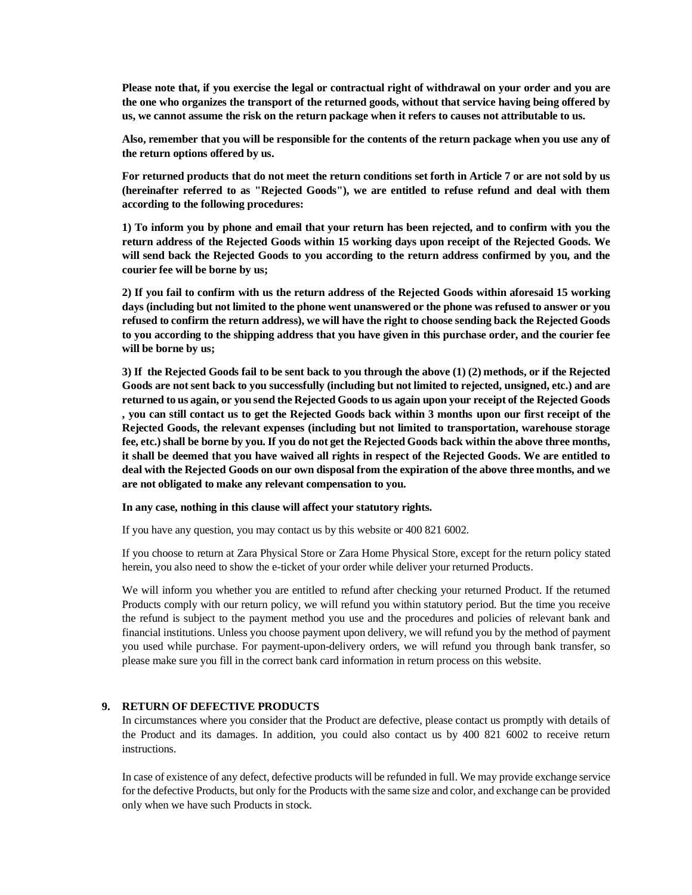**Please note that, if you exercise the legal or contractual right of withdrawal on your order and you are the one who organizes the transport of the returned goods, without that service having being offered by us, we cannot assume the risk on the return package when it refers to causes not attributable to us.**

**Also, remember that you will be responsible for the contents of the return package when you use any of the return options offered by us.** 

**For returned products that do not meet the return conditions set forth in Article 7 or are not sold by us (hereinafter referred to as "Rejected Goods"), we are entitled to refuse refund and deal with them according to the following procedures:**

**1) To inform you by phone and email that your return has been rejected, and to confirm with you the return address of the Rejected Goods within 15 working days upon receipt of the Rejected Goods. We will send back the Rejected Goods to you according to the return address confirmed by you, and the courier fee will be borne by us;**

**2) If you fail to confirm with us the return address of the Rejected Goods within aforesaid 15 working days (including but not limited to the phone went unanswered or the phone was refused to answer or you refused to confirm the return address), we will have the right to choose sending back the Rejected Goods to you according to the shipping address that you have given in this purchase order, and the courier fee will be borne by us;**

**3) If the Rejected Goods fail to be sent back to you through the above (1) (2) methods, or if the Rejected Goods are not sent back to you successfully (including but not limited to rejected, unsigned, etc.) and are returned to us again, or you send the Rejected Goods to us again upon your receipt of the Rejected Goods , you can still contact us to get the Rejected Goods back within 3 months upon our first receipt of the Rejected Goods, the relevant expenses (including but not limited to transportation, warehouse storage fee, etc.) shall be borne by you. If you do not get the Rejected Goods back within the above three months, it shall be deemed that you have waived all rights in respect of the Rejected Goods. We are entitled to deal with the Rejected Goods on our own disposal from the expiration of the above three months, and we are not obligated to make any relevant compensation to you.**

**In any case, nothing in this clause will affect your statutory rights.**

If you have any question, you may contact us by this website or 400 821 6002.

If you choose to return at Zara Physical Store or Zara Home Physical Store, except for the return policy stated herein, you also need to show the e-ticket of your order while deliver your returned Products.

We will inform you whether you are entitled to refund after checking your returned Product. If the returned Products comply with our return policy, we will refund you within statutory period. But the time you receive the refund is subject to the payment method you use and the procedures and policies of relevant bank and financial institutions. Unless you choose payment upon delivery, we will refund you by the method of payment you used while purchase. For payment-upon-delivery orders, we will refund you through bank transfer, so please make sure you fill in the correct bank card information in return process on this website.

# **9. RETURN OF DEFECTIVE PRODUCTS**

In circumstances where you consider that the Product are defective, please contact us promptly with details of the Product and its damages. In addition, you could also contact us by 400 821 6002 to receive return instructions.

In case of existence of any defect, defective products will be refunded in full. We may provide exchange service for the defective Products, but only for the Products with the same size and color, and exchange can be provided only when we have such Products in stock.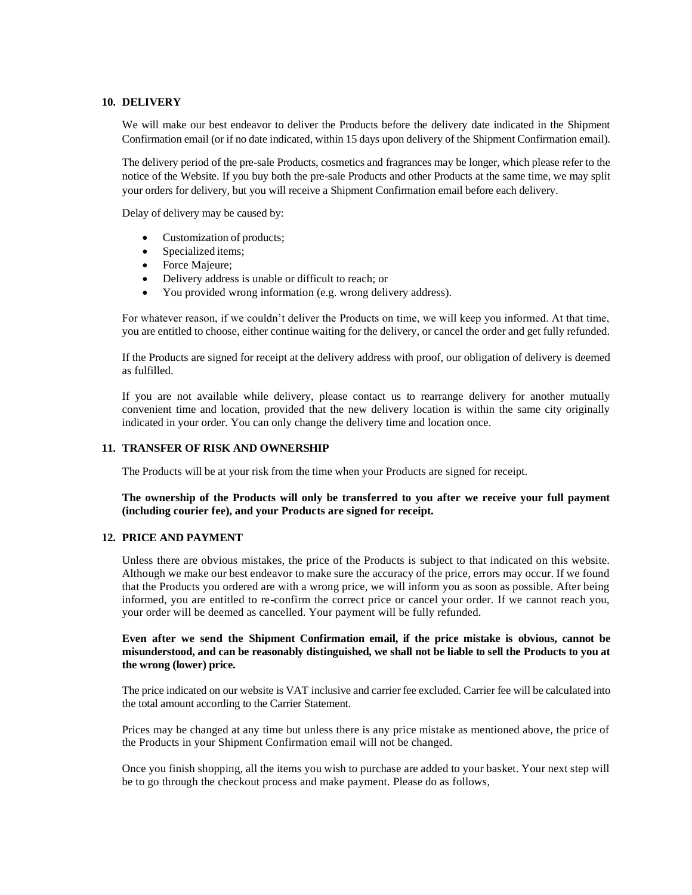## **10. DELIVERY**

We will make our best endeavor to deliver the Products before the delivery date indicated in the Shipment Confirmation email (or if no date indicated, within 15 days upon delivery of the Shipment Confirmation email).

The delivery period of the pre-sale Products, cosmetics and fragrances may be longer, which please refer to the notice of the Website. If you buy both the pre-sale Products and other Products at the same time, we may split your orders for delivery, but you will receive a Shipment Confirmation email before each delivery.

Delay of delivery may be caused by:

- Customization of products;
- Specialized items;
- Force Majeure;
- Delivery address is unable or difficult to reach; or
- You provided wrong information (e.g. wrong delivery address).

For whatever reason, if we couldn't deliver the Products on time, we will keep you informed. At that time, you are entitled to choose, either continue waiting for the delivery, or cancel the order and get fully refunded.

If the Products are signed for receipt at the delivery address with proof, our obligation of delivery is deemed as fulfilled.

If you are not available while delivery, please contact us to rearrange delivery for another mutually convenient time and location, provided that the new delivery location is within the same city originally indicated in your order. You can only change the delivery time and location once.

### **11. TRANSFER OF RISK AND OWNERSHIP**

The Products will be at your risk from the time when your Products are signed for receipt.

# **The ownership of the Products will only be transferred to you after we receive your full payment (including courier fee), and your Products are signed for receipt.**

#### **12. PRICE AND PAYMENT**

Unless there are obvious mistakes, the price of the Products is subject to that indicated on this website. Although we make our best endeavor to make sure the accuracy of the price, errors may occur. If we found that the Products you ordered are with a wrong price, we will inform you as soon as possible. After being informed, you are entitled to re-confirm the correct price or cancel your order. If we cannot reach you, your order will be deemed as cancelled. Your payment will be fully refunded.

## **Even after we send the Shipment Confirmation email, if the price mistake is obvious, cannot be misunderstood, and can be reasonably distinguished, we shall not be liable to sell the Products to you at the wrong (lower) price.**

The price indicated on our website is VAT inclusive and carrier fee excluded. Carrier fee will be calculated into the total amount according to the Carrier Statement.

Prices may be changed at any time but unless there is any price mistake as mentioned above, the price of the Products in your Shipment Confirmation email will not be changed.

Once you finish shopping, all the items you wish to purchase are added to your basket. Your next step will be to go through the checkout process and make payment. Please do as follows,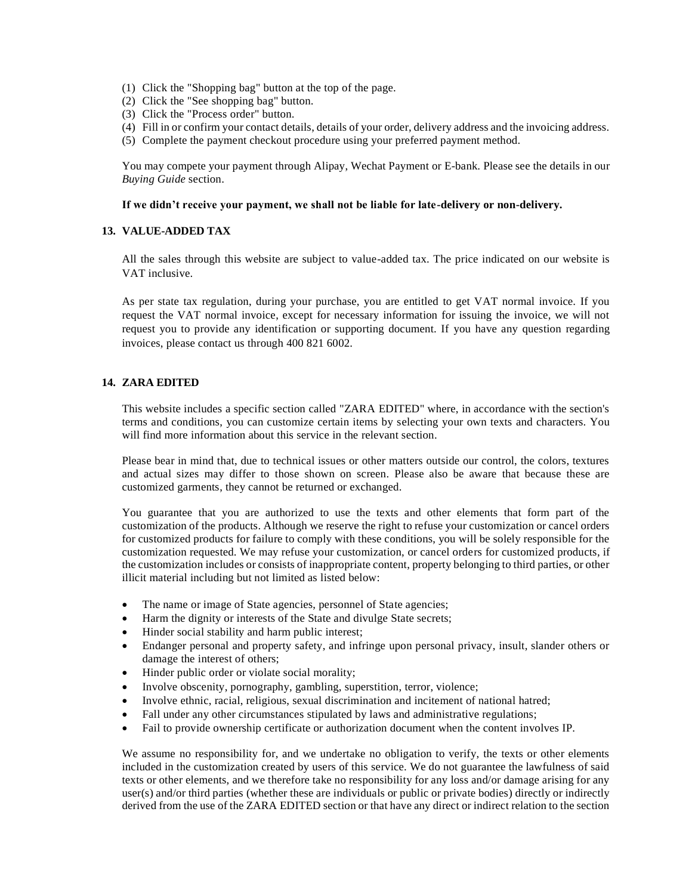- (1) Click the "Shopping bag" button at the top of the page.
- (2) Click the "See shopping bag" button.
- (3) Click the "Process order" button.
- (4) Fill in or confirm your contact details, details of your order, delivery address and the invoicing address.
- (5) Complete the payment checkout procedure using your preferred payment method.

You may compete your payment through Alipay, Wechat Payment or E-bank. Please see the details in our *Buying Guide* section.

### **If we didn't receive your payment, we shall not be liable for late-delivery or non-delivery.**

## **13. VALUE-ADDED TAX**

All the sales through this website are subject to value-added tax. The price indicated on our website is VAT inclusive.

As per state tax regulation, during your purchase, you are entitled to get VAT normal invoice. If you request the VAT normal invoice, except for necessary information for issuing the invoice, we will not request you to provide any identification or supporting document. If you have any question regarding invoices, please contact us through 400 821 6002.

## **14. ZARA EDITED**

This website includes a specific section called "ZARA EDITED" where, in accordance with the section's terms and conditions, you can customize certain items by selecting your own texts and characters. You will find more information about this service in the relevant section.

Please bear in mind that, due to technical issues or other matters outside our control, the colors, textures and actual sizes may differ to those shown on screen. Please also be aware that because these are customized garments, they cannot be returned or exchanged.

You guarantee that you are authorized to use the texts and other elements that form part of the customization of the products. Although we reserve the right to refuse your customization or cancel orders for customized products for failure to comply with these conditions, you will be solely responsible for the customization requested. We may refuse your customization, or cancel orders for customized products, if the customization includes or consists of inappropriate content, property belonging to third parties, or other illicit material including but not limited as listed below:

- The name or image of State agencies, personnel of State agencies;
- Harm the dignity or interests of the State and divulge State secrets;
- Hinder social stability and harm public interest;
- Endanger personal and property safety, and infringe upon personal privacy, insult, slander others or damage the interest of others;
- Hinder public order or violate social morality;
- Involve obscenity, pornography, gambling, superstition, terror, violence;
- Involve ethnic, racial, religious, sexual discrimination and incitement of national hatred;
- Fall under any other circumstances stipulated by laws and administrative regulations;
- Fail to provide ownership certificate or authorization document when the content involves IP.

We assume no responsibility for, and we undertake no obligation to verify, the texts or other elements included in the customization created by users of this service. We do not guarantee the lawfulness of said texts or other elements, and we therefore take no responsibility for any loss and/or damage arising for any user(s) and/or third parties (whether these are individuals or public or private bodies) directly or indirectly derived from the use of the ZARA EDITED section or that have any direct or indirect relation to the section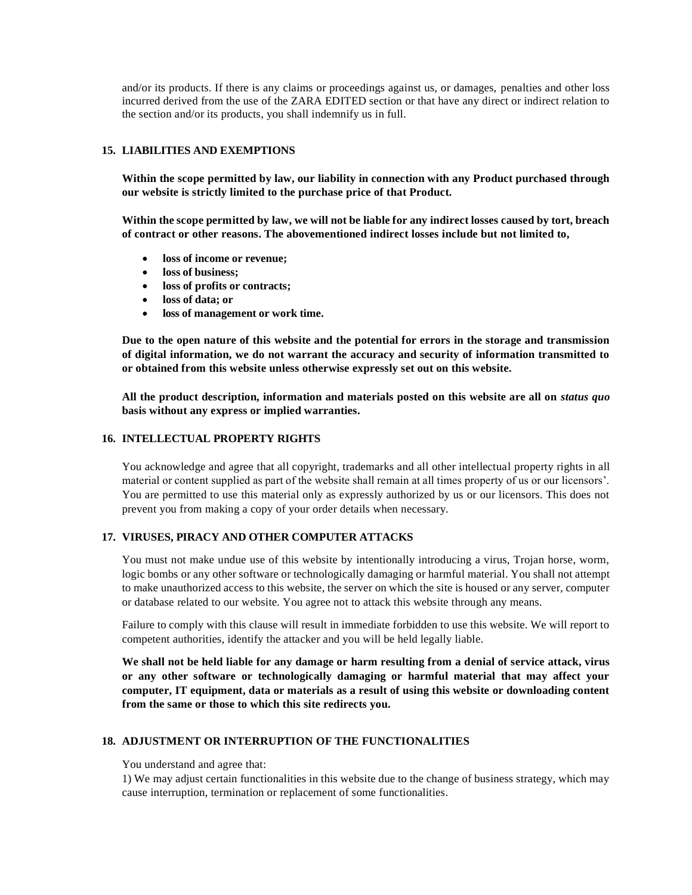and/or its products. If there is any claims or proceedings against us, or damages, penalties and other loss incurred derived from the use of the ZARA EDITED section or that have any direct or indirect relation to the section and/or its products, you shall indemnify us in full.

# **15. LIABILITIES AND EXEMPTIONS**

**Within the scope permitted by law, our liability in connection with any Product purchased through our website is strictly limited to the purchase price of that Product.**

**Within the scope permitted by law, we will not be liable for any indirect losses caused by tort, breach of contract or other reasons. The abovementioned indirect losses include but not limited to,** 

- **loss of income or revenue;**
- **loss of business;**
- **loss of profits or contracts;**
- **loss of data; or**
- **loss of management or work time.**

**Due to the open nature of this website and the potential for errors in the storage and transmission of digital information, we do not warrant the accuracy and security of information transmitted to or obtained from this website unless otherwise expressly set out on this website.**

**All the product description, information and materials posted on this website are all on** *status quo*  **basis without any express or implied warranties.**

## **16. INTELLECTUAL PROPERTY RIGHTS**

You acknowledge and agree that all copyright, trademarks and all other intellectual property rights in all material or content supplied as part of the website shall remain at all times property of us or our licensors'. You are permitted to use this material only as expressly authorized by us or our licensors. This does not prevent you from making a copy of your order details when necessary.

# **17. VIRUSES, PIRACY AND OTHER COMPUTER ATTACKS**

You must not make undue use of this website by intentionally introducing a virus, Trojan horse, worm, logic bombs or any other software or technologically damaging or harmful material. You shall not attempt to make unauthorized access to this website, the server on which the site is housed or any server, computer or database related to our website. You agree not to attack this website through any means.

Failure to comply with this clause will result in immediate forbidden to use this website. We will report to competent authorities, identify the attacker and you will be held legally liable.

**We shall not be held liable for any damage or harm resulting from a denial of service attack, virus or any other software or technologically damaging or harmful material that may affect your computer, IT equipment, data or materials as a result of using this website or downloading content from the same or those to which this site redirects you.**

### **18. ADJUSTMENT OR INTERRUPTION OF THE FUNCTIONALITIES**

You understand and agree that:

1) We may adjust certain functionalities in this website due to the change of business strategy, which may cause interruption, termination or replacement of some functionalities.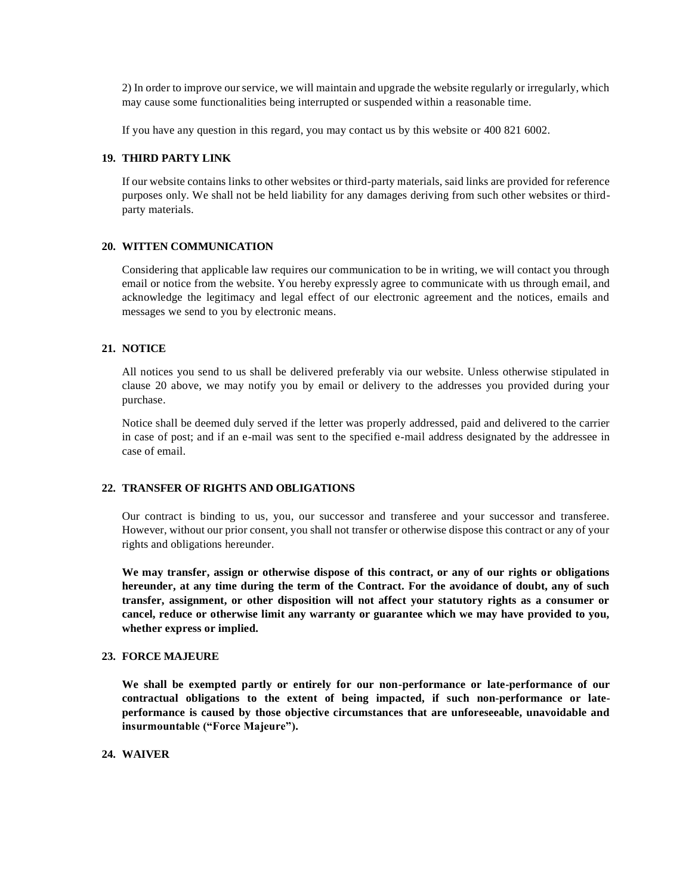2) In order to improve our service, we will maintain and upgrade the website regularly or irregularly, which may cause some functionalities being interrupted or suspended within a reasonable time.

If you have any question in this regard, you may contact us by this website or 400 821 6002.

### **19. THIRD PARTY LINK**

If our website contains links to other websites or third-party materials, said links are provided for reference purposes only. We shall not be held liability for any damages deriving from such other websites or thirdparty materials.

## **20. WITTEN COMMUNICATION**

Considering that applicable law requires our communication to be in writing, we will contact you through email or notice from the website. You hereby expressly agree to communicate with us through email, and acknowledge the legitimacy and legal effect of our electronic agreement and the notices, emails and messages we send to you by electronic means.

## **21. NOTICE**

All notices you send to us shall be delivered preferably via our website. Unless otherwise stipulated in clause 20 above, we may notify you by email or delivery to the addresses you provided during your purchase.

Notice shall be deemed duly served if the letter was properly addressed, paid and delivered to the carrier in case of post; and if an e-mail was sent to the specified e-mail address designated by the addressee in case of email.

### **22. TRANSFER OF RIGHTS AND OBLIGATIONS**

Our contract is binding to us, you, our successor and transferee and your successor and transferee. However, without our prior consent, you shall not transfer or otherwise dispose this contract or any of your rights and obligations hereunder.

**We may transfer, assign or otherwise dispose of this contract, or any of our rights or obligations hereunder, at any time during the term of the Contract. For the avoidance of doubt, any of such transfer, assignment, or other disposition will not affect your statutory rights as a consumer or cancel, reduce or otherwise limit any warranty or guarantee which we may have provided to you, whether express or implied.**

#### **23. FORCE MAJEURE**

**We shall be exempted partly or entirely for our non-performance or late-performance of our contractual obligations to the extent of being impacted, if such non-performance or lateperformance is caused by those objective circumstances that are unforeseeable, unavoidable and insurmountable ("Force Majeure").**

# **24. WAIVER**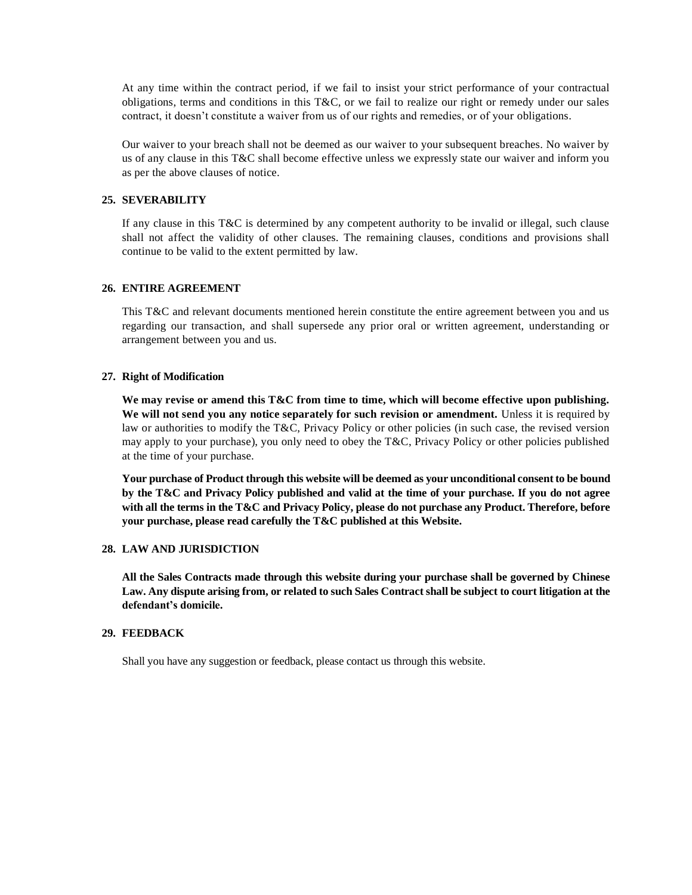At any time within the contract period, if we fail to insist your strict performance of your contractual obligations, terms and conditions in this T&C, or we fail to realize our right or remedy under our sales contract, it doesn't constitute a waiver from us of our rights and remedies, or of your obligations.

Our waiver to your breach shall not be deemed as our waiver to your subsequent breaches. No waiver by us of any clause in this T&C shall become effective unless we expressly state our waiver and inform you as per the above clauses of notice.

## **25. SEVERABILITY**

If any clause in this T&C is determined by any competent authority to be invalid or illegal, such clause shall not affect the validity of other clauses. The remaining clauses, conditions and provisions shall continue to be valid to the extent permitted by law.

## **26. ENTIRE AGREEMENT**

This T&C and relevant documents mentioned herein constitute the entire agreement between you and us regarding our transaction, and shall supersede any prior oral or written agreement, understanding or arrangement between you and us.

## **27. Right of Modification**

**We may revise or amend this T&C from time to time, which will become effective upon publishing. We will not send you any notice separately for such revision or amendment.** Unless it is required by law or authorities to modify the T&C, Privacy Policy or other policies (in such case, the revised version may apply to your purchase), you only need to obey the T&C, Privacy Policy or other policies published at the time of your purchase.

**Your purchase of Product through this website will be deemed as your unconditional consent to be bound by the T&C and Privacy Policy published and valid at the time of your purchase. If you do not agree with all the terms in the T&C and Privacy Policy, please do not purchase any Product. Therefore, before your purchase, please read carefully the T&C published at this Website.** 

#### **28. LAW AND JURISDICTION**

**All the Sales Contracts made through this website during your purchase shall be governed by Chinese Law. Any dispute arising from, or related to such Sales Contract shall be subject to court litigation at the defendant's domicile.** 

# **29. FEEDBACK**

Shall you have any suggestion or feedback, please contact us through this website.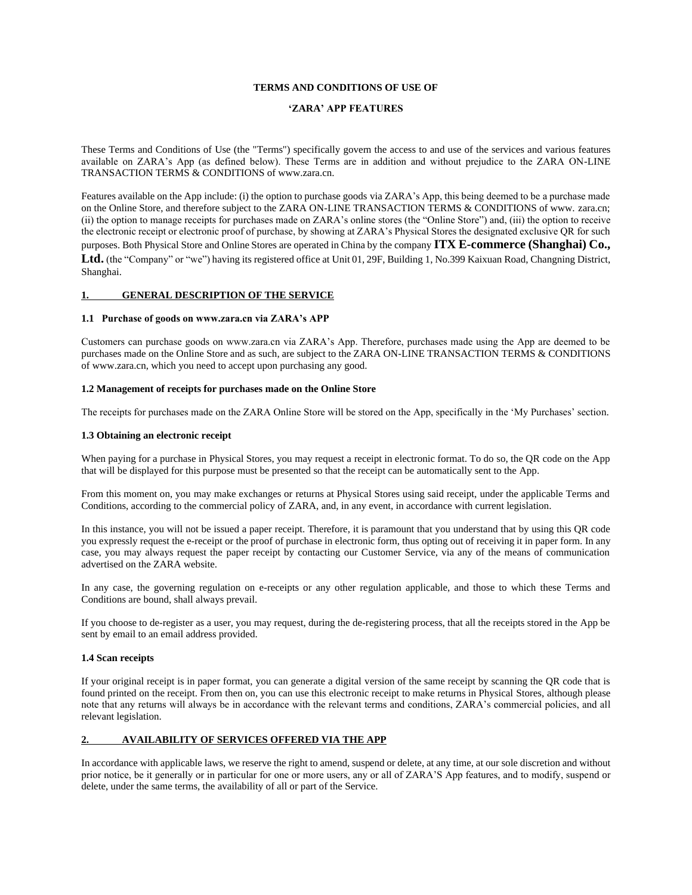#### **TERMS AND CONDITIONS OF USE OF**

#### **'ZARA' APP FEATURES**

These Terms and Conditions of Use (the "Terms") specifically govern the access to and use of the services and various features available on ZARA's App (as defined below). These Terms are in addition and without prejudice to the ZARA ON-LINE TRANSACTION TERMS & CONDITIONS of www.zara.cn.

Features available on the App include: (i) the option to purchase goods via ZARA's App, this being deemed to be a purchase made on the Online Store, and therefore subject to the ZARA ON-LINE TRANSACTION TERMS & CONDITIONS of www. zara.cn; (ii) the option to manage receipts for purchases made on ZARA's online stores (the "Online Store") and, (iii) the option to receive the electronic receipt or electronic proof of purchase, by showing at ZARA's Physical Stores the designated exclusive QR for such purposes. Both Physical Store and Online Stores are operated in China by the company **ITX E-commerce (Shanghai) Co., Ltd.** (the "Company" or "we") having its registered office at Unit 01, 29F, Building 1, No.399 Kaixuan Road, Changning District, Shanghai.

#### **1. GENERAL DESCRIPTION OF THE SERVICE**

#### **1.1 Purchase of goods on www.zara.cn via ZARA's APP**

Customers can purchase goods on www.zara.cn via ZARA's App. Therefore, purchases made using the App are deemed to be purchases made on the Online Store and as such, are subject to the ZARA ON-LINE TRANSACTION TERMS & CONDITIONS of www.zara.cn, which you need to accept upon purchasing any good.

#### **1.2 Management of receipts for purchases made on the Online Store**

The receipts for purchases made on the ZARA Online Store will be stored on the App, specifically in the 'My Purchases' section.

#### **1.3 Obtaining an electronic receipt**

When paying for a purchase in Physical Stores, you may request a receipt in electronic format. To do so, the QR code on the App that will be displayed for this purpose must be presented so that the receipt can be automatically sent to the App.

From this moment on, you may make exchanges or returns at Physical Stores using said receipt, under the applicable Terms and Conditions, according to the commercial policy of ZARA, and, in any event, in accordance with current legislation.

In this instance, you will not be issued a paper receipt. Therefore, it is paramount that you understand that by using this QR code you expressly request the e-receipt or the proof of purchase in electronic form, thus opting out of receiving it in paper form. In any case, you may always request the paper receipt by contacting our Customer Service, via any of the means of communication advertised on the ZARA website.

In any case, the governing regulation on e-receipts or any other regulation applicable, and those to which these Terms and Conditions are bound, shall always prevail.

If you choose to de-register as a user, you may request, during the de-registering process, that all the receipts stored in the App be sent by email to an email address provided.

#### **1.4 Scan receipts**

If your original receipt is in paper format, you can generate a digital version of the same receipt by scanning the QR code that is found printed on the receipt. From then on, you can use this electronic receipt to make returns in Physical Stores, although please note that any returns will always be in accordance with the relevant terms and conditions, ZARA's commercial policies, and all relevant legislation.

#### **2. AVAILABILITY OF SERVICES OFFERED VIA THE APP**

In accordance with applicable laws, we reserve the right to amend, suspend or delete, at any time, at our sole discretion and without prior notice, be it generally or in particular for one or more users, any or all of ZARA'S App features, and to modify, suspend or delete, under the same terms, the availability of all or part of the Service.